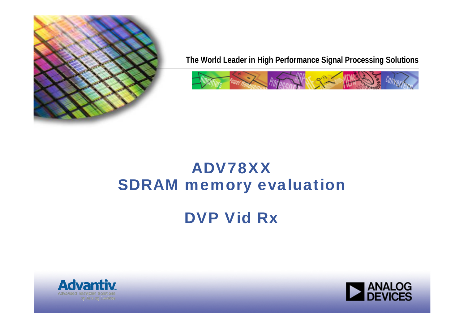

**The World Leader in High Performance Signal Processing Solutions**



# ADV78XX SDRAM memory evaluation

# DVP Vid Rx



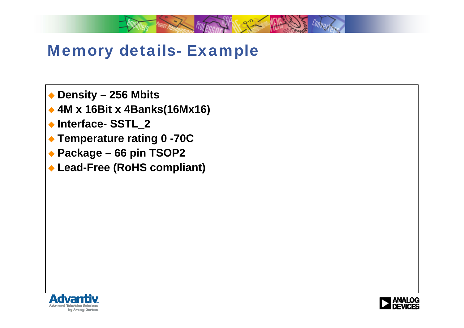### Memory details- Example

- **Density – 256 Mbits**
- **4M x 16Bit x 4Banks(16Mx16)**
- ◆ Interface- SSTL\_2
- **Temperature rating 0 -70C**
- **Package – 66 pin TSOP2**
- **Lead-Free (RoHS compliant)**



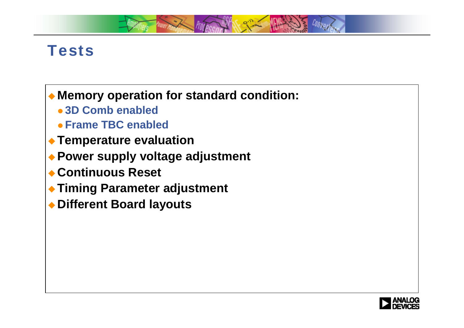

#### Tests

**Memory operation for standard condition:**

- z **3D Comb enabled**
- **Frame TBC enabled**
- **Temperature evaluation**
- **Power supply voltage adjustment**
- **Continuous Reset**
- **Timing Parameter adjustment**
- **Different Board layouts**

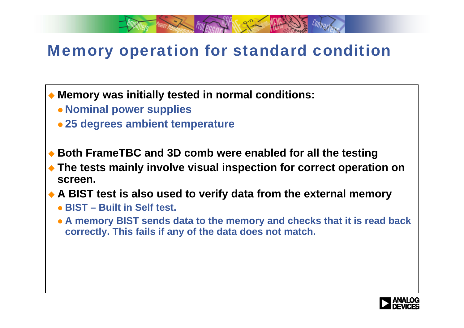#### Memory operation for standard condition

- **Memory was initially tested in normal conditions:**
	- **Nominal power supplies**
	- **25 degrees ambient temperature**
- **Both FrameTBC and 3D comb were enabled for all the testing**
- **The tests mainly involve visual inspection for correct operation on screen.**
- **A BIST test is also used to verify data from the external memory**
	- z **BIST – Built in Self test.**
	- **A memory BIST sends data to the memory and checks that it is read back correctly. This fails if any of the data does not match.**

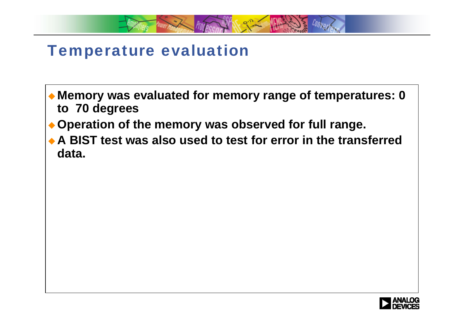#### Temperature evaluation

- **Memory was evaluated for memory range of temperatures: 0 to 70 degrees**
- **Operation of the memory was observed for full range.**
- **A BIST test was also used to test for error in the transferred data.**

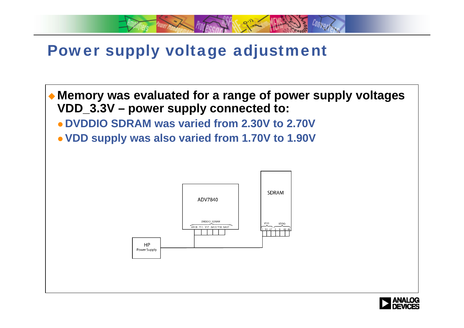## Power supply voltage adjustment



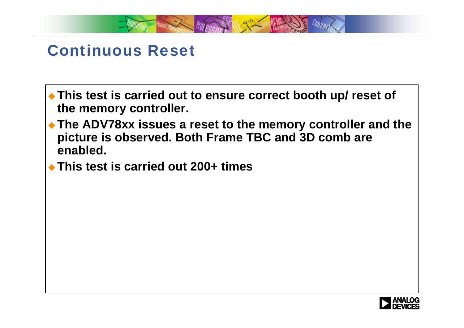

#### Continuous Reset

- **This test is carried out to ensure correct booth up/ reset of the memory controller.**
- **The ADV78xx issues a reset to the memory controller and the picture is observed. Both Frame TBC and 3D comb are enabled.**
- **This test is carried out 200+ times**

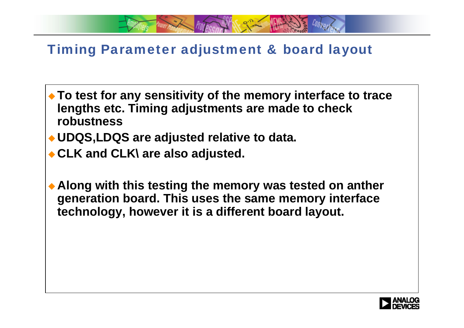#### Timing Parameter adjustment & board layout

- **To test for any sensitivity of the memory interface to trace lengths etc. Timing adjustments are made to check robustness**
- **UDQS,LDQS are adjusted relative to data.**
- **CLK and CLK\ are also adjusted.**
- **Along with this testing the memory was tested on anther generation board. This uses the same memory interface technology, however it is a different board layout.**